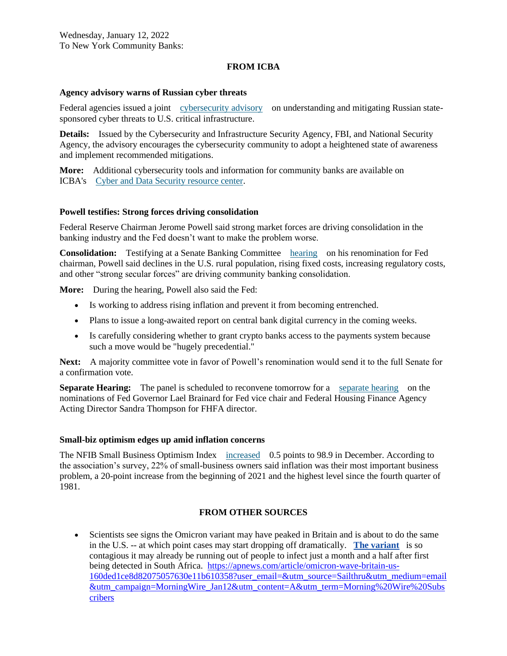# **FROM ICBA**

#### **Agency advisory warns of Russian cyber threats**

Federal agencies issued a joint [cybersecurity advisory](https://email.icba.org/e3t/Btc/ZS+113/cBPxD04/VW6j694rCqTfW1C7pBt7pkLSxW4Rs6st4DchyKN2x86y73q3npV1-WJV7CgZGrW7wNk4n6lrXBpW4bmZ8C83-5c2W2M6BjG8QPGDtW389Kxv7fVQ3_W3s4RvV4wFSxhMsNhgzlRWmmV_q77J3mG47WMNVMKqZgX6zW3nLl6m17gLxsW1Vcw3s3NZC_ZW6F4VK_1YBTRbW7kBSWH2qw-08W94fspk8906ZBW8l4C6k8Z1XKTW5RBX0f5k4J36W8VDRY56FC5SnW6j7lWX3d5k4MW5jy93J7X-qxBW2FsPQR5493spW55-Dg11vQC_PW3Zzgjs4jPcKmW2mWZYh7clzwx3mLX1) on understanding and mitigating Russian statesponsored cyber threats to U.S. critical infrastructure.

**Details:** Issued by the Cybersecurity and Infrastructure Security Agency, FBI, and National Security Agency, the advisory encourages the cybersecurity community to adopt a heightened state of awareness and implement recommended mitigations.

**More:** Additional cybersecurity tools and information for community banks are available on ICBA's [Cyber and Data Security resource center.](https://email.icba.org/e3t/Btc/ZS+113/cBPxD04/VW6j694rCqTfW1C7pBt7pkLSxW4Rs6st4DchyKN2x86yL3q3n_V1-WJV7CgTc8MBDDHmx6lwbW2lkWf46fFmm_W3JkKyF1YZ27qW9ljFVf1Rlj_1W18dKZ78PNM-MVdpFtz4lwRj7W2sTcty19Tp9kW84-Czn3n1HdRW8fBhc42sgjFbN5Fnq-pR55YhW29GLRv49V9xdW85ZCF6636__RW4Clf4Y1vh-QyW1ZYD5G8H37F-W6DJL2Q96TflRW768tpy2zp0bVW1g7B5W7jc-9xW58r2Yd4sVtRMW8QBSC31fWF63W1y1p4W3m2ZZHN3VTH64c-wYnW4gncpn6xSxL7W8Z038g30X9LvW12VkCC31ql0DW4yT3MC840J5-VcSP0D2w09Z431SY1)

## **Powell testifies: Strong forces driving consolidation**

Federal Reserve Chairman Jerome Powell said strong market forces are driving consolidation in the banking industry and the Fed doesn't want to make the problem worse.

**Consolidation:** Testifying at a Senate Banking Committee [hearing](https://email.icba.org/e3t/Btc/ZS+113/cBPxD04/VW6j694rCqTfW1C7pBt7pkLSxW4Rs6st4DchyKN2x86yr3q3nJV1-WJV7CgHpqVbPjy263L5rWW99gXNr90ZD7nW46n1Vz7vBy3YW3SCPyC362rjfW8GJ3pW62WmTdW6_HNVR63GyTZW7ymkjK2rrtrzW1grXLK5N2Bm1W8k8WvF6541t1W7m91-m79v4kZW1zGFyl5yjGFtW75h8gF3j51kQVJ_MYx7JrfKsW6Hw3NY1kqSsXW5Dh5md7P6ngPW5tjLDb2MT_NvN5rVjTws0sjMN3XBclQSpGq8N5RkJwLxv66GW819JCR34-WnhW5rqp_955KgRqW7L9y-l559GHPW6vTK9H4l0HQ9VsyHnG4Fsv8x3fVr1) on his renomination for Fed chairman, Powell said declines in the U.S. rural population, rising fixed costs, increasing regulatory costs, and other "strong secular forces" are driving community banking consolidation.

**More:** During the hearing, Powell also said the Fed:

- Is working to address rising inflation and prevent it from becoming entrenched.
- Plans to issue a long-awaited report on central bank digital currency in the coming weeks.
- Is carefully considering whether to grant crypto banks access to the payments system because such a move would be "hugely precedential."

Next: A majority committee vote in favor of Powell's renomination would send it to the full Senate for a confirmation vote.

**Separate Hearing:** The panel is scheduled to reconvene tomorrow for a [separate hearing](https://email.icba.org/e3t/Btc/ZS+113/cBPxD04/VW6j694rCqTfW1C7pBt7pkLSxW4Rs6st4DchyKN2x86yL3q3n_V1-WJV7CgzW_W93zP_B55S3zlW2V-9345vz4-SW1fJ8k97ssg2yW5F7GVQ44nSN9N1L2z6MxKD-yW3YgfWc68FjVLN61QQhTrY517W4hRK4C47WBmfMvx11-6Y_KDVjnVy6139LlbW2PxQxz1GCls6W4MJLSm4g_-mhW2yN8B53Qq_BtW32j-8526ZCGjN1xntSCZ03PdW4zMM-g21cMjsW2MLXR-8k70Q4W91jFDz2GGb5ZW2Vvlyw2rRCRHW6MJ9XT1s711yW7YW13x35Bgb3W4Vf6LQ2f-qdpW5QpJPP1CDnrCW8Q3mwR64_P1ZW7v-VDQ83vpFXW92yMwM8D43rC39941) on the nominations of Fed Governor Lael Brainard for Fed vice chair and Federal Housing Finance Agency Acting Director Sandra Thompson for FHFA director.

#### **Small-biz optimism edges up amid inflation concerns**

The NFIB Small Business Optimism Index [increased](https://email.icba.org/e3t/Btc/ZS+113/cBPxD04/VW6j694rCqTfW1C7pBt7pkLSxW4Rs6st4DchyKN2x86xf5nCTJV3Zsc37CgZ7BN2hTSq789jb8W8rz6g03f_Q1zW9fNh8J8TJrrPVYyYm9593NMyW5vytdm2HGxkqW8MKLxK2PBMpDW2mV9p0217Xz0VZW4JM8nYrLJW2-hNwx8hywQdW3CQfh_80bb_hW5G1dlP6S-864VLZCx-8pQYJ8W3DJXdt6Mhpq-W7f6wX36Rckw9W5_MNpV30gldsW7P-7Qh6HxcSCW489zJB1v39vTW5QP3cR50NqghVnn4B41x-FVGVy-gNc1x68ZLW61r1Xz2zMlcmW4bh4ph5F9r56W1p97hx92CQ-kW1tLVJc4Y9k1bW3JjCN24b4_j8W5br1WX78pJW_W2byZzW3S8LmKW94bhrn2LWZ0lTzVH34DfBylW6WcL0Z6qDrLyW2-gyVY8WKLpdW2b_FyK6TMwYQ3b4D1) 0.5 points to 98.9 in December. According to the association's survey, 22% of small-business owners said inflation was their most important business problem, a 20-point increase from the beginning of 2021 and the highest level since the fourth quarter of 1981.

# **FROM OTHER SOURCES**

• Scientists see signs the Omicron variant may have peaked in Britain and is about to do the same in the U.S. -- at which point cases may start dropping off dramatically. **[The variant](https://apnews.com/article/coronavirus-pandemic-health-denmark-western-europe-world-health-organization-0cd236bec88830d3e578e670aad84da8)** is so contagious it may already be running out of people to infect just a month and a half after first being detected in South Africa. [https://apnews.com/article/omicron-wave-britain-us-](https://apnews.com/article/omicron-wave-britain-us-160ded1ce8d82075057630e11b610358?user_email=&utm_source=Sailthru&utm_medium=email&utm_campaign=MorningWire_Jan12&utm_content=A&utm_term=Morning%20Wire%20Subscribers)[160ded1ce8d82075057630e11b610358?user\\_email=&utm\\_source=Sailthru&utm\\_medium=email](https://apnews.com/article/omicron-wave-britain-us-160ded1ce8d82075057630e11b610358?user_email=&utm_source=Sailthru&utm_medium=email&utm_campaign=MorningWire_Jan12&utm_content=A&utm_term=Morning%20Wire%20Subscribers) [&utm\\_campaign=MorningWire\\_Jan12&utm\\_content=A&utm\\_term=Morning%20Wire%20Subs](https://apnews.com/article/omicron-wave-britain-us-160ded1ce8d82075057630e11b610358?user_email=&utm_source=Sailthru&utm_medium=email&utm_campaign=MorningWire_Jan12&utm_content=A&utm_term=Morning%20Wire%20Subscribers) [cribers](https://apnews.com/article/omicron-wave-britain-us-160ded1ce8d82075057630e11b610358?user_email=&utm_source=Sailthru&utm_medium=email&utm_campaign=MorningWire_Jan12&utm_content=A&utm_term=Morning%20Wire%20Subscribers)